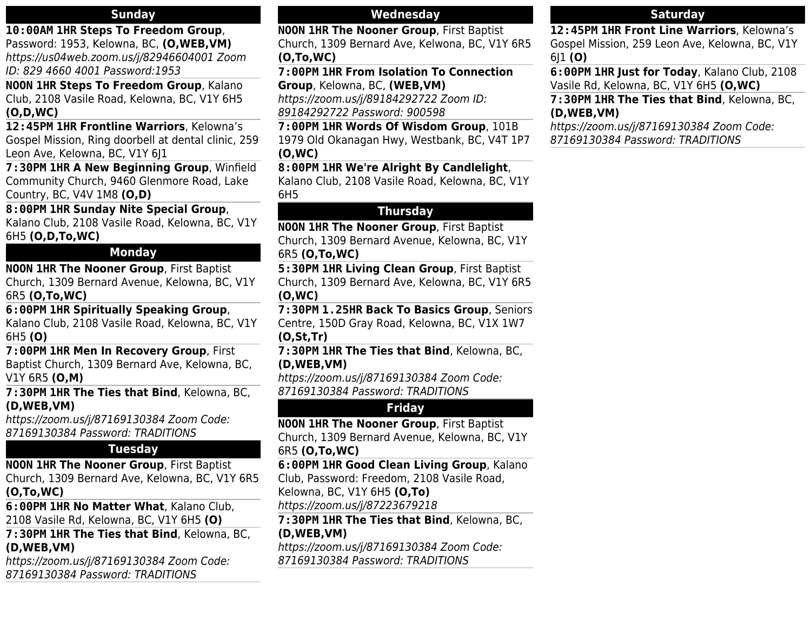#### **Sunday**

**10:00AM 1HR Steps To Freedom Group**, Password: 1953, Kelowna, BC, **(O,WEB,VM)**

https://us04web.zoom.us/j/82946604001 Zoom ID: 829 4660 4001 Password:1953

**NOON 1HR Steps To Freedom Group**, Kalano Club, 2108 Vasile Road, Kelowna, BC, V1Y 6H5 **(O,D,WC)**

### **12:45PM 1HR Frontline Warriors**, Kelowna's Gospel Mission, Ring doorbell at dental clinic, 259 Leon Ave, Kelowna, BC, V1Y 6J1

**7:30PM 1HR A New Beginning Group**, Winfield Community Church, 9460 Glenmore Road, Lake Country, BC, V4V 1M8 **(O,D)**

**8:00PM 1HR Sunday Nite Special Group**, Kalano Club, 2108 Vasile Road, Kelowna, BC, V1Y 6H5 **(O,D,To,WC)**

### **Monday**

**NOON 1HR The Nooner Group**, First Baptist Church, 1309 Bernard Avenue, Kelowna, BC, V1Y 6R5 **(O,To,WC)**

**6:00PM 1HR Spiritually Speaking Group**, Kalano Club, 2108 Vasile Road, Kelowna, BC, V1Y 6H5 **(O)**

**7:00PM 1HR Men In Recovery Group**, First Baptist Church, 1309 Bernard Ave, Kelowna, BC, V1Y 6R5 **(O,M)**

**7:30PM 1HR The Ties that Bind**, Kelowna, BC, **(D,WEB,VM)**

https://zoom.us/j/87169130384 Zoom Code: 87169130384 Password: TRADITIONS

### **Tuesday**

**NOON 1HR The Nooner Group**, First Baptist Church, 1309 Bernard Ave, Kelowna, BC, V1Y 6R5 **(O,To,WC)**

**6:00PM 1HR No Matter What**, Kalano Club, 2108 Vasile Rd, Kelowna, BC, V1Y 6H5 **(O)**

**7:30PM 1HR The Ties that Bind**, Kelowna, BC, **(D,WEB,VM)**

https://zoom.us/j/87169130384 Zoom Code: 87169130384 Password: TRADITIONS

## **Wednesday**

**NOON 1HR The Nooner Group**, First Baptist Church, 1309 Bernard Ave, Kelwona, BC, V1Y 6R5 **(O,To,WC)**

**7:00PM 1HR From Isolation To Connection Group**, Kelowna, BC, **(WEB,VM)** https://zoom.us/j/89184292722 Zoom ID: 89184292722 Password: 900598

**7:00PM 1HR Words Of Wisdom Group**, 101B 1979 Old Okanagan Hwy, Westbank, BC, V4T 1P7 **(O,WC)**

**8:00PM 1HR We're Alright By Candlelight**, Kalano Club, 2108 Vasile Road, Kelowna, BC, V1Y 6H5

# **Thursday**

**NOON 1HR The Nooner Group**, First Baptist Church, 1309 Bernard Avenue, Kelowna, BC, V1Y 6R5 **(O,To,WC)**

**5:30PM 1HR Living Clean Group**, First Baptist Church, 1309 Bernard Ave, Kelowna, BC, V1Y 6R5 **(O,WC)**

**7:30PM 1.25HR Back To Basics Group**, Seniors Centre, 150D Gray Road, Kelowna, BC, V1X 1W7 **(O,St,Tr)**

**7:30PM 1HR The Ties that Bind**, Kelowna, BC, **(D,WEB,VM)**

https://zoom.us/j/87169130384 Zoom Code: 87169130384 Password: TRADITIONS

# **Friday**

**NOON 1HR The Nooner Group**, First Baptist Church, 1309 Bernard Avenue, Kelowna, BC, V1Y 6R5 **(O,To,WC)**

**6:00PM 1HR Good Clean Living Group**, Kalano Club, Password: Freedom, 2108 Vasile Road, Kelowna, BC, V1Y 6H5 **(O,To)** https://zoom.us/j/87223679218

**7:30PM 1HR The Ties that Bind**, Kelowna, BC, **(D,WEB,VM)**

https://zoom.us/j/87169130384 Zoom Code: 87169130384 Password: TRADITIONS

### **Saturday**

**12:45PM 1HR Front Line Warriors**, Kelowna's Gospel Mission, 259 Leon Ave, Kelowna, BC, V1Y 6J1 **(O)**

**6:00PM 1HR Just for Today**, Kalano Club, 2108 Vasile Rd, Kelowna, BC, V1Y 6H5 **(O,WC)**

**7:30PM 1HR The Ties that Bind**, Kelowna, BC, **(D,WEB,VM)**

https://zoom.us/j/87169130384 Zoom Code: 87169130384 Password: TRADITIONS